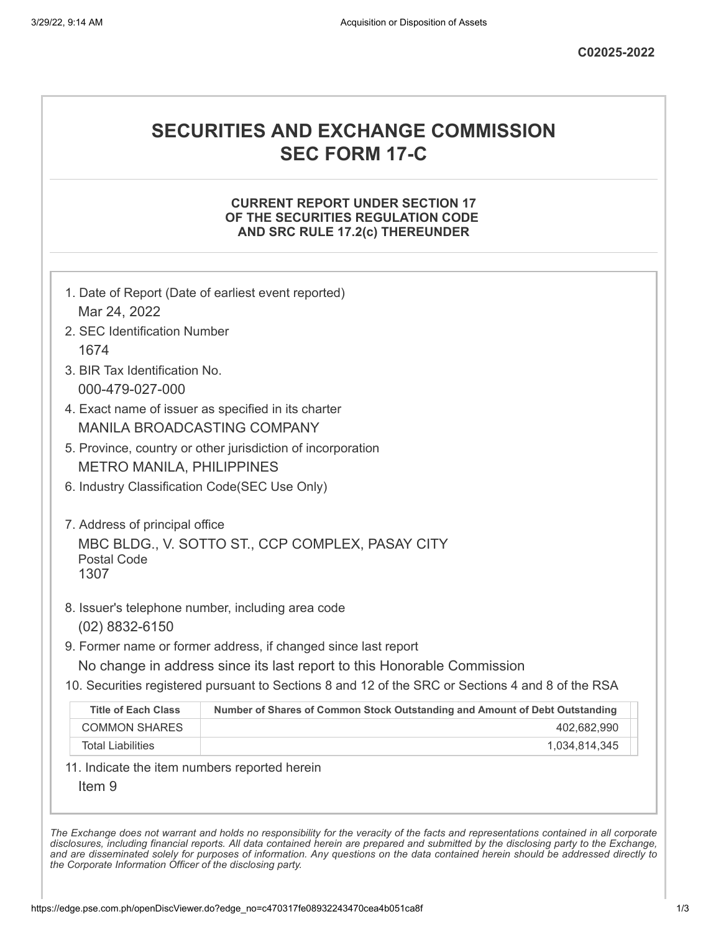# **SECURITIES AND EXCHANGE COMMISSION SEC FORM 17-C**

#### **CURRENT REPORT UNDER SECTION 17 OF THE SECURITIES REGULATION CODE AND SRC RULE 17.2(c) THEREUNDER**

|                                                     | 1. Date of Report (Date of earliest event reported)                                               |  |  |  |  |
|-----------------------------------------------------|---------------------------------------------------------------------------------------------------|--|--|--|--|
| Mar 24, 2022                                        |                                                                                                   |  |  |  |  |
| 2. SEC Identification Number                        |                                                                                                   |  |  |  |  |
| 1674                                                |                                                                                                   |  |  |  |  |
| 3. BIR Tax Identification No.                       |                                                                                                   |  |  |  |  |
| 000-479-027-000                                     |                                                                                                   |  |  |  |  |
| 4. Exact name of issuer as specified in its charter |                                                                                                   |  |  |  |  |
| <b>MANILA BROADCASTING COMPANY</b>                  |                                                                                                   |  |  |  |  |
|                                                     | 5. Province, country or other jurisdiction of incorporation                                       |  |  |  |  |
| <b>METRO MANILA, PHILIPPINES</b>                    |                                                                                                   |  |  |  |  |
| 6. Industry Classification Code(SEC Use Only)       |                                                                                                   |  |  |  |  |
| 7. Address of principal office                      |                                                                                                   |  |  |  |  |
|                                                     | MBC BLDG., V. SOTTO ST., CCP COMPLEX, PASAY CITY                                                  |  |  |  |  |
| <b>Postal Code</b>                                  |                                                                                                   |  |  |  |  |
| 1307                                                |                                                                                                   |  |  |  |  |
|                                                     | 8. Issuer's telephone number, including area code                                                 |  |  |  |  |
| $(02)$ 8832-6150                                    |                                                                                                   |  |  |  |  |
|                                                     | 9. Former name or former address, if changed since last report                                    |  |  |  |  |
|                                                     | No change in address since its last report to this Honorable Commission                           |  |  |  |  |
|                                                     | 10. Securities registered pursuant to Sections 8 and 12 of the SRC or Sections 4 and 8 of the RSA |  |  |  |  |
| <b>Title of Each Class</b>                          | Number of Shares of Common Stock Outstanding and Amount of Debt Outstanding                       |  |  |  |  |
| <b>COMMON SHARES</b>                                | 402,682,990                                                                                       |  |  |  |  |
| <b>Total Liabilities</b>                            | 1,034,814,345                                                                                     |  |  |  |  |
|                                                     | 11. Indicate the item numbers reported herein                                                     |  |  |  |  |
|                                                     |                                                                                                   |  |  |  |  |

The Exchange does not warrant and holds no responsibility for the veracity of the facts and representations contained in all corporate disclosures, including financial reports. All data contained herein are prepared and submitted by the disclosing party to the Exchange, and are disseminated solely for purposes of information. Any questions on the data contained herein should be addressed directly to *the Corporate Information Officer of the disclosing party.*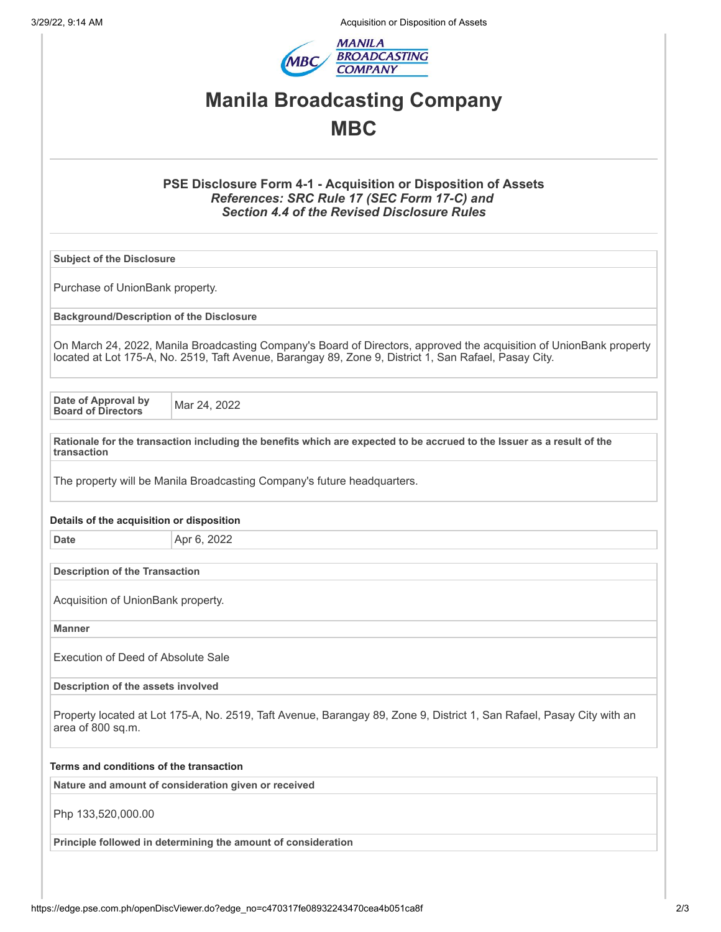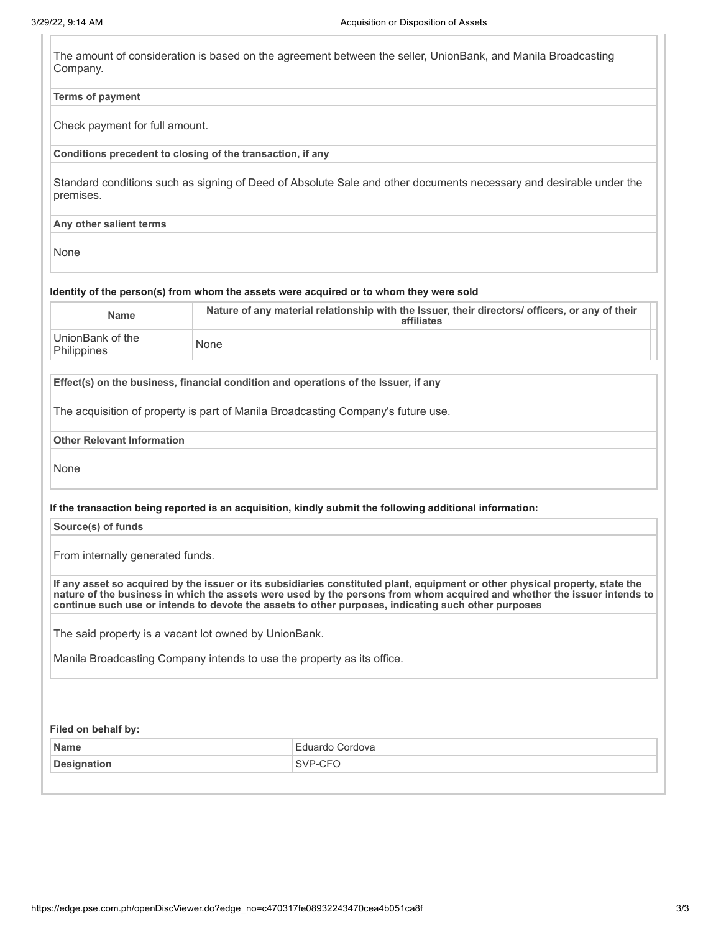| <b>Terms of payment</b>                                                                      |                                                                                                                                                                                                                                                                                                                                                                  |  |  |
|----------------------------------------------------------------------------------------------|------------------------------------------------------------------------------------------------------------------------------------------------------------------------------------------------------------------------------------------------------------------------------------------------------------------------------------------------------------------|--|--|
| Check payment for full amount.                                                               |                                                                                                                                                                                                                                                                                                                                                                  |  |  |
|                                                                                              | Conditions precedent to closing of the transaction, if any                                                                                                                                                                                                                                                                                                       |  |  |
| premises.                                                                                    | Standard conditions such as signing of Deed of Absolute Sale and other documents necessary and desirable under the                                                                                                                                                                                                                                               |  |  |
| Any other salient terms                                                                      |                                                                                                                                                                                                                                                                                                                                                                  |  |  |
| None                                                                                         |                                                                                                                                                                                                                                                                                                                                                                  |  |  |
|                                                                                              | Identity of the person(s) from whom the assets were acquired or to whom they were sold                                                                                                                                                                                                                                                                           |  |  |
| <b>Name</b>                                                                                  | Nature of any material relationship with the Issuer, their directors/ officers, or any of their<br>affiliates                                                                                                                                                                                                                                                    |  |  |
| UnionBank of the<br>Philippines                                                              | None                                                                                                                                                                                                                                                                                                                                                             |  |  |
|                                                                                              | Effect(s) on the business, financial condition and operations of the Issuer, if any                                                                                                                                                                                                                                                                              |  |  |
|                                                                                              | The acquisition of property is part of Manila Broadcasting Company's future use.                                                                                                                                                                                                                                                                                 |  |  |
| <b>Other Relevant Information</b>                                                            |                                                                                                                                                                                                                                                                                                                                                                  |  |  |
| None                                                                                         |                                                                                                                                                                                                                                                                                                                                                                  |  |  |
|                                                                                              |                                                                                                                                                                                                                                                                                                                                                                  |  |  |
|                                                                                              | If the transaction being reported is an acquisition, kindly submit the following additional information:                                                                                                                                                                                                                                                         |  |  |
|                                                                                              |                                                                                                                                                                                                                                                                                                                                                                  |  |  |
|                                                                                              |                                                                                                                                                                                                                                                                                                                                                                  |  |  |
|                                                                                              | If any asset so acquired by the issuer or its subsidiaries constituted plant, equipment or other physical property, state the<br>nature of the business in which the assets were used by the persons from whom acquired and whether the issuer intends to<br>continue such use or intends to devote the assets to other purposes, indicating such other purposes |  |  |
|                                                                                              | The said property is a vacant lot owned by UnionBank.                                                                                                                                                                                                                                                                                                            |  |  |
|                                                                                              | Manila Broadcasting Company intends to use the property as its office.                                                                                                                                                                                                                                                                                           |  |  |
|                                                                                              |                                                                                                                                                                                                                                                                                                                                                                  |  |  |
|                                                                                              |                                                                                                                                                                                                                                                                                                                                                                  |  |  |
| Source(s) of funds<br>From internally generated funds.<br>Filed on behalf by:<br><b>Name</b> | Eduardo Cordova                                                                                                                                                                                                                                                                                                                                                  |  |  |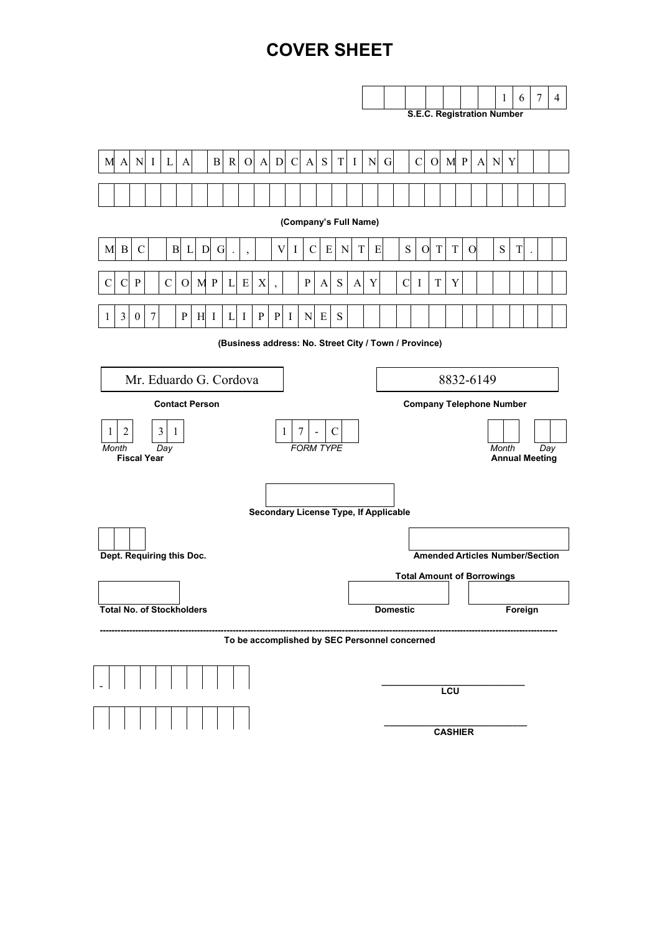# **COVER SHEET**

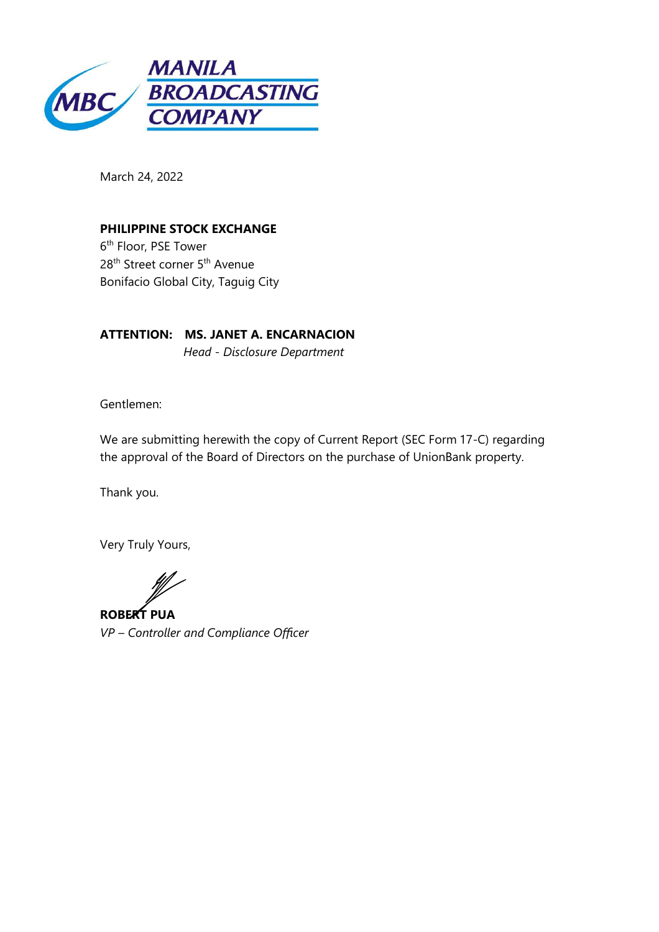

March 24, 2022

## **PHILIPPINE STOCK EXCHANGE**

6<sup>th</sup> Floor, PSE Tower 28<sup>th</sup> Street corner 5<sup>th</sup> Avenue Bonifacio Global City, Taguig City

ATTENTION: MS. JANET A. ENCARNACION Head - Disclosure Department

Gentlemen:

We are submitting herewith the copy of Current Report (SEC Form 17-C) regarding the approval of the Board of Directors on the purchase of UnionBank property.

Thank you.

Very Truly Yours,

**ROBERT PUA** VP - Controller and Compliance Officer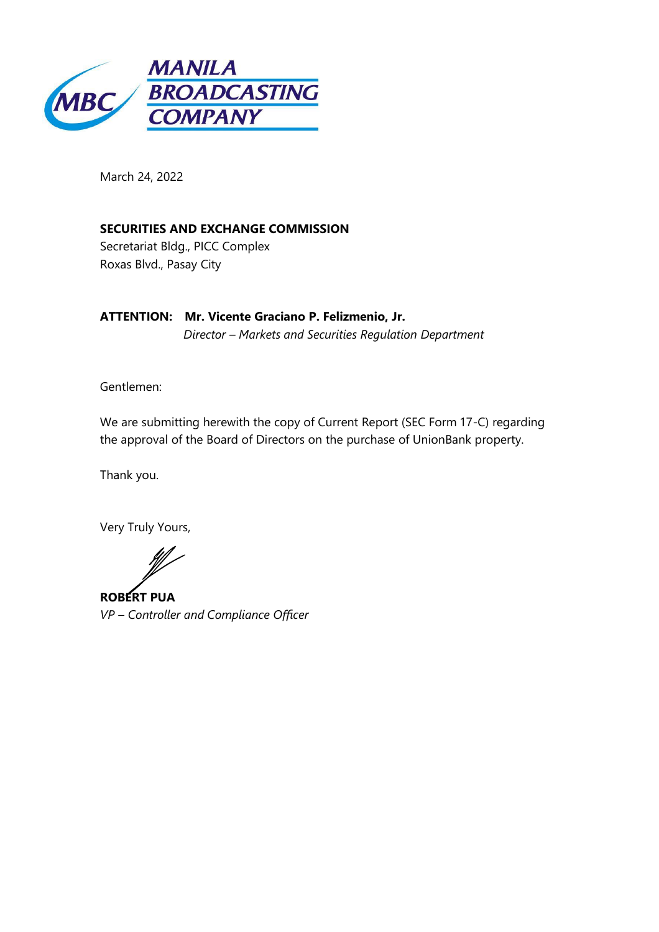

March 24, 2022

SECURITIES AND EXCHANGE COMMISSION

Secretariat Bldg., PICC Complex Roxas Blvd., Pasay City

ATTENTION: Mr. Vicente Graciano P. Felizmenio, Jr. Director - Markets and Securities Regulation Department

Gentlemen:

We are submitting herewith the copy of Current Report (SEC Form 17-C) regarding the approval of the Board of Directors on the purchase of UnionBank property.

Thank you.

Very Truly Yours,

**ROBERT PUA** VP - Controller and Compliance Officer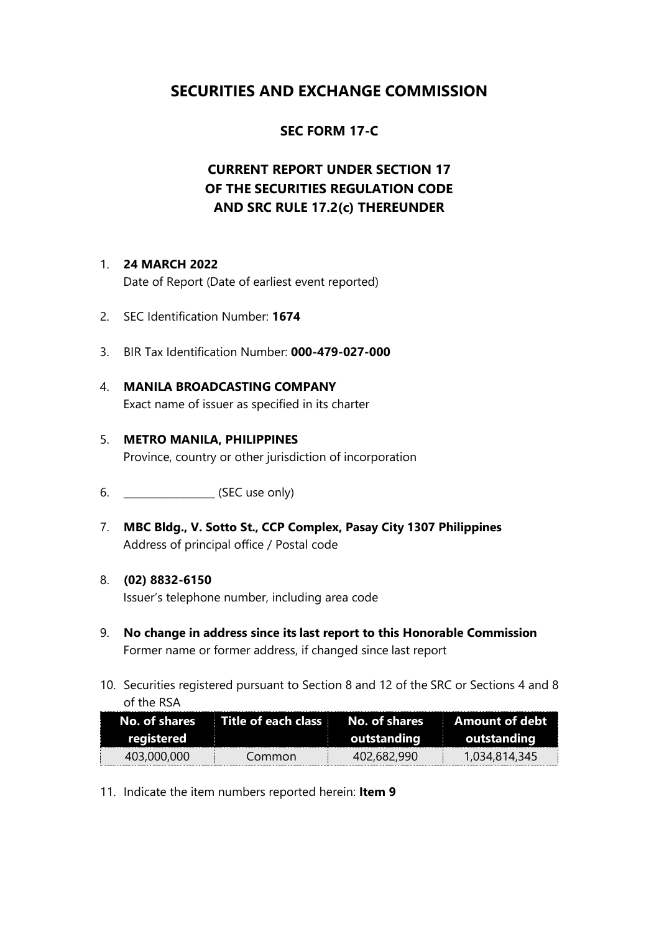# **SECURITIES AND EXCHANGE COMMISSION**

## **SEC FORM 17-C**

# **CURRENT REPORT UNDER SECTION 17** OF THE SECURITIES REGULATION CODE AND SRC RULE 17.2(c) THEREUNDER

#### 1. 24 MARCH 2022

Date of Report (Date of earliest event reported)

- 2. SEC Identification Number: 1674
- 3. BIR Tax Identification Number: 000-479-027-000
- 4. MANILA BROADCASTING COMPANY Exact name of issuer as specified in its charter

## 5. METRO MANILA, PHILIPPINES Province, country or other jurisdiction of incorporation

- 
- 7. MBC Bldg., V. Sotto St., CCP Complex, Pasay City 1307 Philippines Address of principal office / Postal code

### 8. (02) 8832-6150

Issuer's telephone number, including area code

- 9. No change in address since its last report to this Honorable Commission Former name or former address, if changed since last report
- 10. Securities registered pursuant to Section 8 and 12 of the SRC or Sections 4 and 8 of the RSA

| No. of shares | $\blacksquare$ Title of each class $\blacksquare$ | No. of shares | <b>Amount of debt</b> |
|---------------|---------------------------------------------------|---------------|-----------------------|
| registered    |                                                   | outstanding   | outstanding           |
| 403,000,000   | Common                                            | 402.682.990   | 1,034,814,345         |

11. Indicate the item numbers reported herein: Item 9